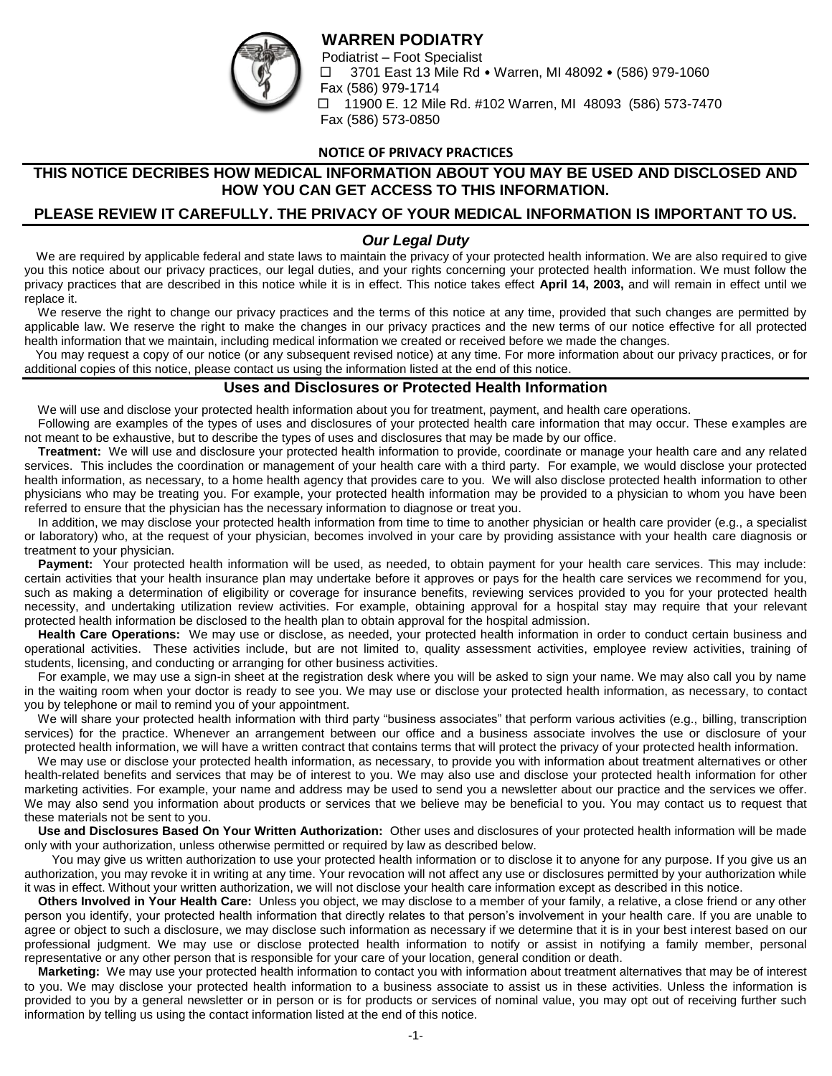# **WARREN PODIATRY**



Podiatrist – Foot Specialist  $\Box$  3701 East 13 Mile Rd • Warren, MI 48092 • (586) 979-1060 Fax (586) 979-1714 □ 11900 E. 12 Mile Rd. #102 Warren, MI 48093 (586) 573-7470 Fax (586) 573-0850

### **NOTICE OF PRIVACY PRACTICES**

# **THIS NOTICE DECRIBES HOW MEDICAL INFORMATION ABOUT YOU MAY BE USED AND DISCLOSED AND HOW YOU CAN GET ACCESS TO THIS INFORMATION.**

## **PLEASE REVIEW IT CAREFULLY. THE PRIVACY OF YOUR MEDICAL INFORMATION IS IMPORTANT TO US.**

## *Our Legal Duty*

 We are required by applicable federal and state laws to maintain the privacy of your protected health information. We are also required to give you this notice about our privacy practices, our legal duties, and your rights concerning your protected health information. We must follow the privacy practices that are described in this notice while it is in effect. This notice takes effect **April 14, 2003,** and will remain in effect until we replace it.

 We reserve the right to change our privacy practices and the terms of this notice at any time, provided that such changes are permitted by applicable law. We reserve the right to make the changes in our privacy practices and the new terms of our notice effective for all protected health information that we maintain, including medical information we created or received before we made the changes.

 You may request a copy of our notice (or any subsequent revised notice) at any time. For more information about our privacy practices, or for additional copies of this notice, please contact us using the information listed at the end of this notice.

#### **Uses and Disclosures or Protected Health Information**

We will use and disclose your protected health information about you for treatment, payment, and health care operations.

 Following are examples of the types of uses and disclosures of your protected health care information that may occur. These examples are not meant to be exhaustive, but to describe the types of uses and disclosures that may be made by our office.

 **Treatment:** We will use and disclosure your protected health information to provide, coordinate or manage your health care and any related services. This includes the coordination or management of your health care with a third party. For example, we would disclose your protected health information, as necessary, to a home health agency that provides care to you. We will also disclose protected health information to other physicians who may be treating you. For example, your protected health information may be provided to a physician to whom you have been referred to ensure that the physician has the necessary information to diagnose or treat you.

 In addition, we may disclose your protected health information from time to time to another physician or health care provider (e.g., a specialist or laboratory) who, at the request of your physician, becomes involved in your care by providing assistance with your health care diagnosis or treatment to your physician.

Payment: Your protected health information will be used, as needed, to obtain payment for your health care services. This may include: certain activities that your health insurance plan may undertake before it approves or pays for the health care services we recommend for you, such as making a determination of eligibility or coverage for insurance benefits, reviewing services provided to you for your protected health necessity, and undertaking utilization review activities. For example, obtaining approval for a hospital stay may require that your relevant protected health information be disclosed to the health plan to obtain approval for the hospital admission.

 **Health Care Operations:** We may use or disclose, as needed, your protected health information in order to conduct certain business and operational activities. These activities include, but are not limited to, quality assessment activities, employee review activities, training of students, licensing, and conducting or arranging for other business activities.

 For example, we may use a sign-in sheet at the registration desk where you will be asked to sign your name. We may also call you by name in the waiting room when your doctor is ready to see you. We may use or disclose your protected health information, as necessary, to contact you by telephone or mail to remind you of your appointment.

We will share your protected health information with third party "business associates" that perform various activities (e.g., billing, transcription services) for the practice. Whenever an arrangement between our office and a business associate involves the use or disclosure of your protected health information, we will have a written contract that contains terms that will protect the privacy of your protected health information.

 We may use or disclose your protected health information, as necessary, to provide you with information about treatment alternatives or other health-related benefits and services that may be of interest to you. We may also use and disclose your protected health information for other marketing activities. For example, your name and address may be used to send you a newsletter about our practice and the services we offer. We may also send you information about products or services that we believe may be beneficial to you. You may contact us to request that these materials not be sent to you.

 **Use and Disclosures Based On Your Written Authorization:** Other uses and disclosures of your protected health information will be made only with your authorization, unless otherwise permitted or required by law as described below.

You may give us written authorization to use your protected health information or to disclose it to anyone for any purpose. If you give us an authorization, you may revoke it in writing at any time. Your revocation will not affect any use or disclosures permitted by your authorization while it was in effect. Without your written authorization, we will not disclose your health care information except as described in this notice.

 **Others Involved in Your Health Care:** Unless you object, we may disclose to a member of your family, a relative, a close friend or any other person you identify, your protected health information that directly relates to that person's involvement in your health care. If you are unable to agree or object to such a disclosure, we may disclose such information as necessary if we determine that it is in your best interest based on our professional judgment. We may use or disclose protected health information to notify or assist in notifying a family member, personal representative or any other person that is responsible for your care of your location, general condition or death.

 **Marketing:** We may use your protected health information to contact you with information about treatment alternatives that may be of interest to you. We may disclose your protected health information to a business associate to assist us in these activities. Unless the information is provided to you by a general newsletter or in person or is for products or services of nominal value, you may opt out of receiving further such information by telling us using the contact information listed at the end of this notice.